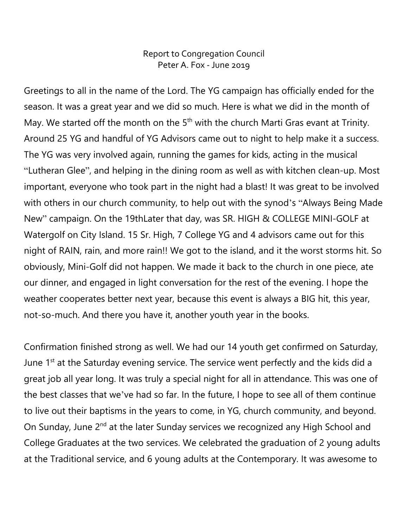## Report to Congregation Council Peter A. Fox - June 2019

Greetings to all in the name of the Lord. The YG campaign has officially ended for the season. It was a great year and we did so much. Here is what we did in the month of May. We started off the month on the  $5<sup>th</sup>$  with the church Marti Gras evant at Trinity. Around 25 YG and handful of YG Advisors came out to night to help make it a success. The YG was very involved again, running the games for kids, acting in the musical "Lutheran Glee", and helping in the dining room as well as with kitchen clean-up. Most important, everyone who took part in the night had a blast! It was great to be involved with others in our church community, to help out with the synod's "Always Being Made New" campaign. On the 19thLater that day, was SR. HIGH & COLLEGE MINI-GOLF at Watergolf on City Island. 15 Sr. High, 7 College YG and 4 advisors came out for this night of RAIN, rain, and more rain!! We got to the island, and it the worst storms hit. So obviously, Mini-Golf did not happen. We made it back to the church in one piece, ate our dinner, and engaged in light conversation for the rest of the evening. I hope the weather cooperates better next year, because this event is always a BIG hit, this year, not-so-much. And there you have it, another youth year in the books.

Confirmation finished strong as well. We had our 14 youth get confirmed on Saturday, June 1<sup>st</sup> at the Saturday evening service. The service went perfectly and the kids did a great job all year long. It was truly a special night for all in attendance. This was one of the best classes that we've had so far. In the future, I hope to see all of them continue to live out their baptisms in the years to come, in YG, church community, and beyond. On Sunday, June 2<sup>nd</sup> at the later Sunday services we recognized any High School and College Graduates at the two services. We celebrated the graduation of 2 young adults at the Traditional service, and 6 young adults at the Contemporary. It was awesome to